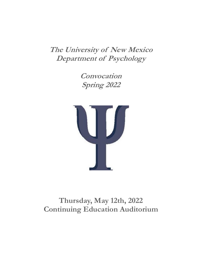**The University of New Mexico Department of Psychology**

> **Convocation Spring 2022**



# **Thursday, May 12th, 2022 Continuing Education Auditorium**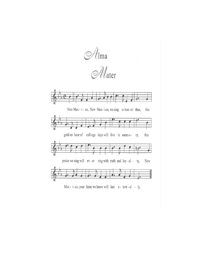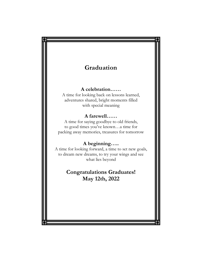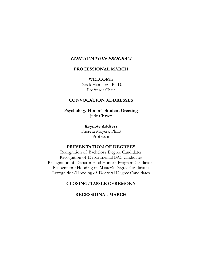### **CONVOCATION PROGRAM**

### **PROCESSIONAL MARCH**

### **WELCOME**

Derek Hamilton, Ph.D. Professor Chair

### **CONVOCATION ADDRESSES**

**Psychology Honor's Student Greeting** Jude Chavez

> **Keynote Address** Theresa Moyers, Ph.D. Professor

### **PRESENTATION OF DEGREES**

Recognition of Bachelor's Degree Candidates Recognition of Departmental BAC candidates Recognition of Departmental Honor's Program Candidates Recognition/Hooding of Master's Degree Candidates Recognition/Hooding of Doctoral Degree Candidates

## **CLOSING/TASSLE CEREMONY**

### **RECESSIONAL MARCH**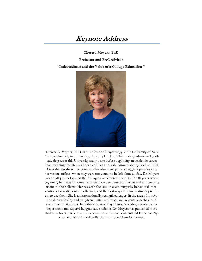# **Keynote Address**

**Theresa Moyers, PhD**

**Professor and BAC Advisor**

#### **"Indebtedness and the Value of a College Education "**

![](_page_4_Picture_4.jpeg)

Theresa B. Moyers, Ph.D. is a Professor of Psychology at the University of New Mexico. Uniquely in our faculty, she completed both her undergraduate and graduate degrees at this University many years before beginning an academic career here, meaning that she has keys to offices in our department dating back to 1984.

Over the last thirty five years, she has also managed to smuggle 7 puppies into her various offices, when they were too young to be left alone all day. Dr. Moyers was a staff psychologist at the Albuquerque Veteran's hospital for 10 years before beginning her research career, and retains a deep interest in what makes therapists useful to their clients. Her research focuses on examining why behavioral interventions for addictions are effective, and the best ways to train treatment providers to use them. She is an internationally recognized expert in the area of motivational interviewing and has given invited addresses and keynote speeches in 14 countries and 43 states. In addition to teaching classes, providing service to her department and supervising graduate students, Dr. Moyers has published more than 40 scholarly articles and is a co-author of a new book entitled Effective Psychotherapists: Clinical Skills That Improve Client Outcomes.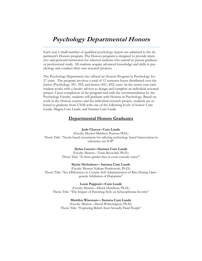# **Psychology Departmental Honors**

Each year a small number of qualified psychology majors are admitted to the department's Honors program. The Honors program is designed to provide intensive and personal instruction for selected students who intend to pursue graduate or professional study. All students acquire advanced knowledge and skills in psychology and conduct their own research projects.

The Psychology Department has offered an Honors Program in Psychology for 57 years. The program involves a total of 12 semester hours distributed over the Junior (Psychology 391, 392) and Senior (491, 492) years. In the senior year each student works with a faculty advisor to design and complete an individual research project. Upon completion of the program and with the recommendation by the Psychology Faculty, students will graduate with Honors in Psychology. Based on work in the Honors courses and the individual research project, students are selected to graduate from UNM with one of the following levels of honor: Cum Laude, Magna Cum Laude, and Summa Cum Laude.

### **Departmental Honors Graduates**

#### **Jude Chavez– Cum Laude**

(Faculty Mentor-Matthew Pearson PhD.) Thesis Title: "Needs based assessment for tailoring technology based Intervention in substance use IOP"

#### **Dylan Lucero—Summa Cum Laude**

(Faculty Mentor—Tania Reynolds, Ph.D.) Thesis Title: "Is there gender bias in court custody cases?"

#### **Skylar Nicholson— Summa Cum Laude**

(Faculty Mentor-Nathan Pentkowski, Ph.D.) Thesis Title: "Sex Differences in Cocaine Self-Administration of Rats During Optogenetic Inhibition of Dopamine"

**Louis Papponi—Cum Laude**

(Faculty Mentor—Derek Hamilton, Ph.D.) Thesis Title: "The Impact of Parenting Style on Schizophrenia Severity"

#### **Mattilyn Wiseman— Summa Cum Laude**

(Faculty Mentor—David Witherington, Ph.D.) Thesis Title: "Exploring Beliefs from Sexually Fluid People"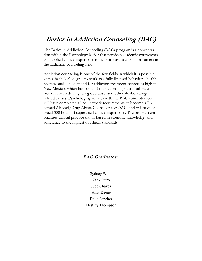The Basics in Addiction Counseling (BAC) program is a concentration within the Psychology Major that provides academic coursework and applied clinical experience to help prepare students for careers in the addiction counseling field.

Addiction counseling is one of the few fields in which it is possible with a bachelor's degree to work as a fully licensed behavioral health professional. The demand for addiction treatment services is high in New Mexico, which has some of the nation's highest death rates from drunken driving, drug overdose, and other alcohol/drugrelated causes. Psychology graduates with the BAC concentration will have completed all coursework requirements to become a Licensed Alcohol/Drug Abuse Counselor (LADAC) and will have accrued 300 hours of supervised clinical experience. The program emphasizes clinical practice that is based in scientific knowledge, and adherence to the highest of ethical standards.

## **BAC Graduates:**

Sydney Wood Zack Petro Jude Chavez Amy Keene Delia Sanchez Destiny Thompson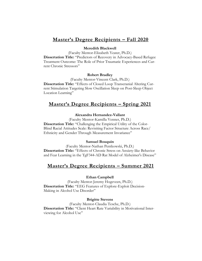## **Master's Degree Recipients – Fall 2020**

### **Meredith Blackwell**

(Faculty Mentor-Elizabeth Yeater, Ph.D.)

**Dissertation Title:** "Predictors of Recovery in Advocacy-Based Refugee Treatment Outcome: The Role of Prior Traumatic Experiences and Current Chronic Stressors"

#### **Robert Bradley**

(Faculty Mentor-Vincent Clark, Ph.D.) **Dissertation Title:** "Effects of Closed Loop Transcranial Altering Current Stimulation Targeting Slow Oscillation Sleep on Post-Sleep Object Location Learning"

# **Master's Degree Recipients – Spring 2021**

#### **Alexandra Hernandez-Vallant**

(Faculty Mentor-Kamilla Venner, Ph.D.) **Dissertation Title:** "Challenging the Empirical Utility of the Color-Blind Racial Attitudes Scale: Revisiting Factor Structure Across Race/ Ethnicity and Gender Through Measurement Invariance"

#### **Samuel Bouquin**

(Faculty Mentor-Nathan Pentkowski, Ph.D.) **Dissertation Title:** "Effects of Chronic Stress on Anxiety-like Behavior and Fear Learning in the TgF344-AD Rat Model of Alzheimer's Disease"

### **Master's Degree Recipients – Summer 2021**

#### **Ethan Campbell**

(Faculty Mentor-Jeremy Hogeveen, Ph.D.) **Dissertation Title:** "EEG Features of Explore-Exploit Decision-Making in Alcohol Use Disorder"

#### **Brigitte Stevens**

(Faculty Mentor-Claudia Tesche, Ph.D.) **Dissertation Title:** "Client Heart Rate Variability in Motivational Interviewing for Alcohol Use"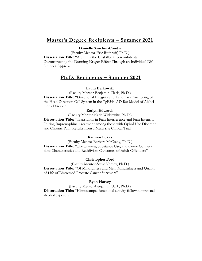## **Master's Degree Recipients – Summer 2021**

#### **Danielle Sanchez-Combs**

(Faculty Mentor-Eric Ruthruff, Ph.D.)

**Dissertation Title:** "Are Only the Unskilled Overconfident? Deconstructing the Dunning-Kruger Effect Through an Individual Differences Approach"

## **Ph.D. Recipients – Summer 2021**

#### **Laura Berkowitz**

(Faculty Mentor-Benjamin Clark, Ph.D.)

**Dissertation Title:** "Directional Integrity and Landmark Anchoring of the Head Direction Cell System in the TgF344-AD Rat Model of Alzheimer's Disease"

#### **Karlyn Edwards**

(Faculty Mentor-Katie Witkiewitz, Ph.D.)

**Dissertation Title:** "Transitions in Pain Interference and Pain Intensity During Buprenophine Treatment among those with Opiod Use Disorder and Chronic Pain: Results from a Multi-site Clinical Trial"

#### **Kathryn Fokas**

(Faculty Mentor-Barbara McCrady, Ph.D.) **Dissertation Title:** "The Trauma, Substance Use, and Crime Connection: Characteristics and Recidivism Outcomes of Adult Offenders"

#### **Christopher Ford**

(Faculty Mentor-Steve Verney, Ph.D.) **Dissertation Title:** "Of Mindfulness and Men: Mindfulness and Quality of Life of Distressed Prostate Cancer Survivors"

#### **Ryan Harvey**

(Faculty Mentor-Benjamin Clark, Ph.D.) **Dissertation Title:** "Hippocampal functional activity following prenatal alcohol exposure"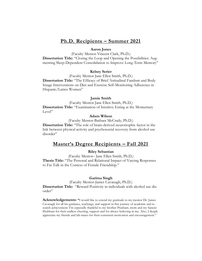## **Ph.D. Recipients – Summer 2021**

#### **Aaron Jones**

(Faculty Mentor-Vincent Clark, Ph.D.) **Dissertation Title:** "Closing the Loop and Opening the Possibilities: Augmenting Sleep-Dependent Consolidation to Improve Long-Term Memory"

#### **Kelsey Serier**

(Faculty Mentor-Jane Ellen Smith, Ph.D.) **Dissertation Title:** "The Efficacy of Brief Attitudinal Famlism and Body Image Interventions on Diet and Exercise Self-Monitoring Adherence in Hispanic/Latinx Women"

#### **Jamie Smith**

(Faculty Mentor-Jane Ellen Smith, Ph.D.) **Dissertation Title:** "Examination of Intuitive Eating at the Momentary Level"

#### **Adam Wilson**

(Faculty Mentor-Barbara McCrady, Ph.D.)

**Dissertation Title:** "The role of brain-derived neurotrophic factor in the link between physical activity and psychosocial recovery from alcohol use disorder"

### **Master's Degree Recipients – Fall 2021**

### **Riley Sebastian**

(Faculty Mentor– Jane Ellen Smith, Ph.D.) **Thesis Title:** "The Personal and Relational Impact of Varying Responses to Fat Talk in the Context of Female Friendship."

#### **Garima Singh**

(Faculty Mentor-James Cavanagh, Ph.D.)

**Dissertation Title:** "Reward Positivity in individuals with alcohol use disorder"

**Acknowledgements: "**I would like to extend my gratitude to my mentor Dr. James Cavanagh for all his guidance, teachings, and support in this journey of academic and research achievement. I'm especially thankful to my brother Prashant, mom and my fiancée Shubham for their endless cheering, support and for always believing in me. Also, I deeply appreciate my friends and lab mates for their consistent motivation and encouragement."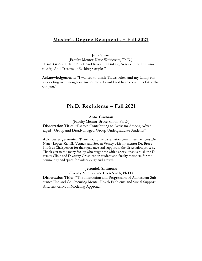## **Master's Degree Recipients – Fall 2021**

#### **Julia Swan**

(Faculty Mentor-Katie Witkiewitz, Ph.D.) **Dissertation Title:** "Relief And Reward Drinking Across Time In Community And Treatment-Seeking Samples"

**Acknowledgements:** "I wanted to thank Travis, Alex, and my family for supporting me throughout my journey. I could not have come this far without you."

### **Ph.D. Recipients – Fall 2021**

#### **Anne Guzman**

(Faculty Mentor-Bruce Smith, Ph.D.) **Dissertation Title:** "Factors Contributing to Activism Among Advantaged– Group and Disadvantaged-Group Undergraduate Students"

**Acknowledgements:** "Thank you to my dissertation committee members Drs. Nancy López, Kamilla Venner, and Steven Verney with my mentor Dr. Bruce Smith as Chairperson for their guidance and support in the dissertation process. Thank you to the many faculty who taught me with a special thanks to all the Diversity Clinic and Diversity Organization student and faculty members for the community and space for vulnerability and growth"

#### **Jeremiah Simmons**

(Faculty Mentor-Jane Ellen Smith, Ph.D.) **Dissertation Title:** "The Interaction and Progression of Adolescent Substance Use and Co-Occuring Mental Health Problems and Social Support: A Latent Growth Modeling Approach"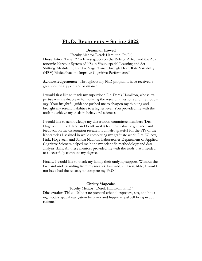## **Ph.D. Recipients – Spring 2022**

#### **Breannan Howell**

(Faculty Mentor-Derek Hamilton, Ph.D.) **Dissertation Title:** "An Investigation on the Role of Affect and the Autonomic Nervous System (ANS) in Visuouspatial Learning and Set-Shifting: Modulating Cardiac Vagal Tone Through Heart Rate Variability (HRV) Biofeedback to Improve Cognitive Performance"

**Acknowledgements:** "Throughout my PhD program I have received a great deal of support and assistance.

I would first like to thank my supervisor, Dr. Derek Hamilton, whose expertise was invaluable in formulating the research questions and methodology. Your insightful guidance pushed me to sharpen my thinking and brought my research abilities to a higher level. You provided me with the tools to achieve my goals in behavioral sciences.

I would like to acknowledge my dissertation committee members (Drs. Hogeveen, Fink, Clark, and Pentkowski) for their valuable guidance and feedback on my dissertation research. I am also grateful for the PI's of the laboratories I assisted in while completing my graduate work. Drs. Wilcox, Fink, Hogeveen, and Sandia National Laboratories Department of Applied Cognitive Sciences helped me hone my scientific methodology and data analysis skills. All these mentors provided me with the tools that I needed to successfully complete my degree.

Finally, I would like to thank my family their undying support. Without the love and understanding from my mother, husband, and son, Milo, I would not have had the tenacity to compete my PhD."

#### **Christy Magcalas**

(Faculty Mentor– Derek Hamilton, Ph.D.) **Dissertation Title:** "Moderate prenatal ethanol exposure, sex, and housing modify spatial navigation behavior and hippocampal cell firing in adult rodents"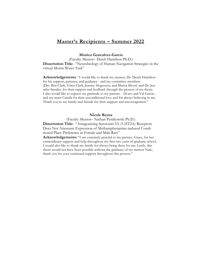## **Master's Recipients – Summer 2022**

#### **Monica Goncalvez-Garcia**

(Faculty Mentor– Derek Hamilton Ph.D.) **Dissertation Title:** "Neurobiology of Human Navigation Strategies in the virtual Morris Water Task"

**Acknowledgements**: "I would like to thank my mentor, Dr. Derek Hamilton for his support, patience, and guidance - and my committee members (Drs. Ben Clark, Vince Clark, Jeremy Hogeveen, and Marisa Silveri) and Dr. Jennifer Sneider, for their support and feedback through the process of my thesis. I also would like to express my gratitude to my parents - Alvaro and Val Garcia and my sister Camila for their unconditional love and for always believing in me. Thank you to my family and friends for their support and encouragement."

#### **Nicole Reyna**

(Faculty Mentor– Nathan Pentkowski Ph.D.) **Dissertation Title:** "Antagonizing Serotonin 2A (5-HT2A) Receptors Does Not Attenuate Expression of Methamphetamine-induced Conditioned Place Preference in Female and Male Rats"

**Acknowledgements:** "I am extremely grateful to my partner, Grace, for her extraordinary support and help throughout my first two years of graduate school. I would also like to thank my family for always being there for me. Lastly, this thesis would not have been possible without the guidance of my mentor Nate, thank you for your continued support throughout this process."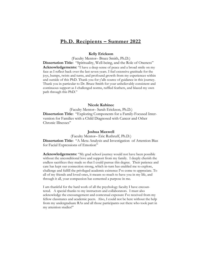## **Ph.D. Recipients – Summer 2022**

#### **Kelly Erickson**

(Faculty Mentor– Bruce Smith, Ph.D.)

**Dissertation Title:** "Spirituality, Well-being, and the Role of Oneness" **Acknowledgements:** "I have a deep sense of peace and a broad smile on my face as I reflect back over the last seven years. I feel extensive gratitude for the joys, bumps, twists and turns, and profound growth from my experiences within and outside of this PhD. Thank you for y'alls source of guidance in this journey. Thank you in particular to Dr. Bruce Smith for your unbelievably consistent and continuous support as I challenged norms, ruffled feathers, and blazed my own path through this PhD."

#### **Nicole Kubinec**

(Faculty Mentor– Sarah Erickson, Ph.D.) **Dissertation Title:** "Exploring Components for a Family-Focused Intervention for Families with a Child Diagnosed with Cancer and Other Chronic Illnesses"

#### **Joshua Maxwell**

(Faculty Mentor– Eric Ruthruff, Ph.D.) **Dissertation Title:** "A Meta Analysis and Investigation of Attention Bias for Facial Expressions of Emotion"

**Acknowledgements:** "My grad school journey would not have been possible without the unconditional love and support from my family. I deeply cherish the endless sacrifices they made so that I could pursue this degree. Their patience and care has kept our connection strong, which in-turn has enabled me to explore, challenge and fulfill the privileged academic existence I've come to appreciate. To all of my friends and loved ones, it means so much to have you in my life, and through it all, your compassion has cemented a purpose in me.

I am thankful for the hard work of all the psychology faculty I have encountered. A special thanks to my instructors and collaborators. I must also acknowledge the encouragement and contextual exposure I've received from my fellow classmates and academic peers. Also, I could not be here without the help from my undergraduate RAs and all those participants out there who took part in my attention studies!"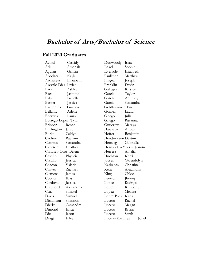## **Fall 2020 Graduates**

| Acord                  | Cassidy    |
|------------------------|------------|
| Adi                    | Amenah     |
| Aguilar                | Griffin    |
| Apoda <mark>c</mark> a | Kayla      |
| Archuleta              | Elizabeth  |
| Arevalo Diaz           | Livier     |
| Baca                   | Ashlee     |
| Baca                   | Jasmine    |
| Baker                  | Isabella   |
| Barker                 | Jessica    |
| Barrientos             | Gustavo    |
| Bellamy                | Arlene     |
| Borawski               | Laura      |
| Borrego-Lopez Tyra     |            |
| Brinson                | Renee      |
| Buffington             | Jared      |
| Burks                  | Caitlyn    |
| Cachini                | Raelynn    |
| Campos                 | Samantha   |
| Carleton               | Heather    |
| Carrasco Oros Belem    |            |
| Castillo               | Phylicia   |
| Castillo               | Jessica    |
| Chacon                 | Valerie    |
| Chavez                 | Zachary    |
| Clemens                | James      |
| Coontz                 | Kristin    |
| Cordova                | Jessica    |
| Crawford               | Alexandria |
| Cruz                   | Shantel    |
| Davis                  | Samuel     |
| Dickinson              | Shannon    |
| Dierks                 | Cassandra  |
| Dimond                 | Erica      |
| Diz                    | Jason      |
| Dragt                  | Eileen     |

Dunwoody Isaac Eckel Sophie Eversole Elizabeth Faulkner Matthew Fragua Joseph Franklin Devin Gallegos Kirsten Garcia Taylor Garcia Anthony Garcia Samantha Goldhammer Tate Gomez Laura Griego Julia Griego Rayanna Gutierrez Mareya Hawsawi Anwar Hefter Benjamin Hendrickson Destiny Herczeg Gabriella Hernandez-Morris Jasmine Herrera Amalia Huchton Kerri Joysen Gwendolyn Kaskabas Christina Kent Alexandria King Chloe Lentsch Jhoniq Lopez Rodrigo Lopez Kimberly Lopez Melissa Lopez Baez Karla Lucero Rachel Lucero Megan Lucero Brynn Lucero Sarah Lucero-Martinez Jonel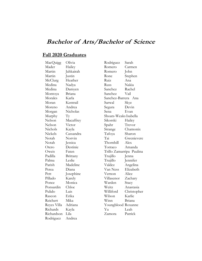# **Fall 2020 Graduates**

| MacQuigg    | Olivia    |
|-------------|-----------|
| Mader       | Hailey    |
| Martin      | Jahkairah |
| Martin      | Justin    |
| McClurg     | Heather   |
| Medina      | Nadya     |
| Medina      | Damyen    |
| Montoya     | Briana    |
| Morales     | Karla     |
| Moran       | Kentrail  |
| Moreno      | Andrea    |
| Morgan      | Nicholas  |
| Murphy      | Тy        |
| Nelson      | Macaffrey |
| Nelson      | Victor    |
| Nichols     | Kayla     |
| Nickels     | Cassandra |
| Notah       | Norvin    |
| Notah       | Jessica   |
| Otero       | Destinie  |
| Oweis       | Faten     |
| Padilla     | Brittany  |
| Palma       | Leslie    |
| Parish      | Madeline  |
| Perea       | Diana     |
| Pett        | Josephine |
| Pillado     | Karely    |
| Ponce       | Monica    |
| Ponsardin   | Chloe     |
| Pulido      | Luis      |
| Rascon      | Erika     |
| Reichert    | Mika      |
| Reyes Villa | Adriana   |
| Richards    | Kayla     |
| Richardson  | Lila      |
| Rodriguez   | Andrea    |

Rodriguez Sarah Romero Carmen Romero John Rone Stephen Ruiz Ana Russ Nakia Sanchez Rachel Sanchez Vail Sanchez-Barrera Ana Sarwal Skye Segura Devin Sena Evan Shoats-WeaksIsabella Sikorski Hailey Spahr Trevor Strange Chamonix Tafoya Sharon Tai Gwenievere Thornhill Alex Torraco Amanda Trillo Zamarripa Paulina Trujillo Jenna Trujillo Jennifer Valdez Angelina Van Ness Elizabeth Vernon Alice Villasenor Zachary Warden Stacy Weitz Anastasia Williford Christopher Wilson Karlie Winn Briana Youngblood Roxanne Yu Leah Zamora Patrick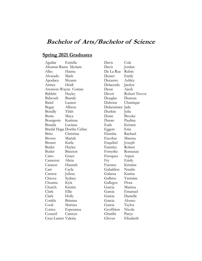## **Spring 2021 Graduates**

Aguilar Estrella Alcantar Rama Myriam Alley Hanna Alvarado Mark Apodaca Shyann Armes Heidi Aronson-Wayne Connie Babbitt Hayley Babcock Brandy Baird Lauren Begay Allison Benally Tifah Benia Maya Bourgeois Karinna Branda Luciana Bredal Haga Dorthe Celine Brito Christina Brown Mariah Bruner Karla Butler Haylee Butler Braxton Cairo Grace Cameron Alicia Cannon Hannah Carr Cayla Carrera Julissa Chavez Sydney Cheama Kyla Church Kristin Clark Ellie Clark Holly Conkle Brianna Cook Marissa Cortez Esperanza Council Camryn Cruz-Lanter Valeria

Davis Cole Davis Jordan De La Rue Rubin Deater Emily Decastro Ashley Delacerda Jaedyn Desai Ajesh Divett Robert Trevor Douglas Duncan Duboise Chamique Dukeminier Jade Dunkin Julia Dunn Brooke Duran Paulina Eads Kristen Eggers Erin Elumba Rachael Escobar Marena Esquibel Joseph Farnsley Robert Forsythe Romanza Fresquez Aspen Fry Emily Fuentes Kristine Gabaldon Natalie Galarza Karina Galbiso Yasmine Gallegos Flora Garcia Marissa Garcia Emanuel Garcia Danielle Garcia Alonso Garcia Taylor Geoffrion Nicole Gharibi Parya

Glover Elizabeth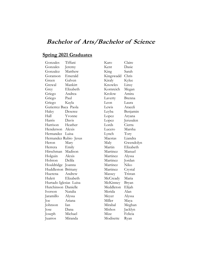## **Spring 2021 Graduates**

Gonzales Tiffani Gonzales Jeremy Gonzalez Matthew Goranson Emerald Green Galven Grewal Mankirt Grey Elizabeth Griego Andrea Griego Paul Griego Kayla Gutierrez Baca Paola Haley Deseree Hall Yvonne Harris Davis Harrison Heather Henderson Alexis Hernandez Luisa Hernandez Rubio Jesus Heron Mary Herrera Emily Hirschman Madison Holguin Alexis Holston Delila Houldridge Joanna Huddleston Brittany Huerena Andrew Hulett Elizabeth Hurtado Iglesias Luisa Hutchinson Danielle Iverson Natalia Jaramillo Alyssa Joe Ariana Johnson Ian Jose Dana Joseph Michael Juarros Miranda

Karo Claire Kent Dasie King Sarah Kingswadd Chris Kiraly Kylee Knowles Linsy Kornreich Megan Krolow Amira Laverty Brenna Leon Laura Lewis Araceli Leyba Benjamin Lopez Aryana Lopez Jerusalen Lords Cierra Lucero Marsha Lynch Tory Maestas Liandra Maly Gwendolyn Martin Elizabeth Martinez Manuel Martinez Alyssa Martinez Jordan Martinez Niko Martinez Crystal Massey Tristan McCready Maria McKinney Bryan Meddleton Elijah Merida Alan Meyer Alyssa Miller Maya Mirabal Meghan Mishos Jacklyn Mize Felicia Modisette Ryan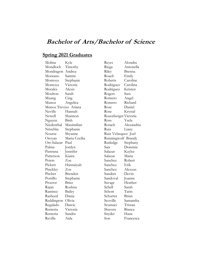## **Spring 2021 Graduates**

Molina Kyle Mondloch Timothy Mondragon Andrea Montano Sammi Montoya Stephanie Montoya Victoria Morales Alexis Moulton Sarah Muang Cing Munoz Angelica Munoz Trevizo Ariana Neville Hannah Newell Shannon Nguyen Binh Niedenthal Maximilian Nitschke Stephanie Nourse Shyanne Oroyan Maria Cecilia Orr-Salazar Paul Palma Jordyn Pastrana Jennifer Patterson Kiaira Peters Zoe Pickett Hannaiyah Pinckley Zoe Pitcher Brenden Portillo Stephanie Proctor Brice Rajan Roshna Ramirez Bailey Rasheed Dania Reddington Olivia Regalado Darcie Renteria Victoria Renteria Sandra Revilla Aida

Reyes Alondra Riega Antonella Riley Brenna Roach Emily Roberts Caroline Rodriguez Carolina Rodriguez Kristen Rogers Sara Romero Angel Romero Richard Rose Daniel Rose Krystal Rosenberger Victoria Ross Ysela Rotach Alexandria Ruiz Liany Ruiz Velasquez Joel Runningwolf Brandy Rutledge Stephany Saiz Dominic Salazar Kaylee Salazar Maria Sanchez Robert Sanchez Erik Sanchez Alexxus Sanders Devin Sandoval Joanne Savage Heather Schell Sarah Schott Tarin Schurter Brian Scoville Samantha Scumaci Tristan Shavers Bianca Snyder Hana

Son Francesca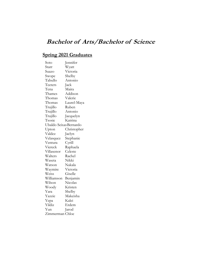# **Spring 2021 Graduates**

| Soto                   | Jennifer    |
|------------------------|-------------|
| Starr                  | Wyatt       |
| Suazo                  | Victoria    |
| Swope                  | Shelby      |
| Tabullo                | Antonio     |
| Teeters                | Jack        |
| Tena                   | Maira       |
| Thames                 | Addison     |
| Thomas                 | Valerie     |
| Thomas                 | Laurel-Maya |
| Trujillo               | Ruben       |
| Trujillo               | Antonio     |
| Trujillo               | Jacquelyn   |
| Tsosie                 | Katrina     |
| Ubaldo Seixas Bernardo |             |
| Upton                  | Christopher |
| Valdez                 | Jaclyn      |
| Velasquez              | Stephanie   |
| Ventura                | Cyrill      |
| Viereck                | Raphaela    |
| Villasenor             | Celeste     |
| Walters                | Rachel      |
| Waseta                 | Nikki       |
| Watson                 | Nakala      |
| Waymire                | Victoria    |
| Weiss                  | Giselle     |
| Williamson             | Benjamin    |
| Wilson                 | Nicolas     |
| Woody                  | Kristen     |
| Yara                   | Shelby      |
| Yazzie                 | Makeisha    |
| Yepa                   | Kalei       |
| Yildiz                 | Erdem       |
| Yun                    | Jarod       |
| Zimmerman              | Chloe       |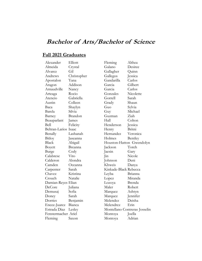## **Fall 2021 Graduates**

| Alexander            | Elliott     |
|----------------------|-------------|
| Almeida              | Crystal     |
| Alvarez              | Gil         |
| Andrews              | Christopher |
| Apostalon            | Yana        |
| Aragon               | Addison     |
| Arnaudville          | Nancy       |
| Arteaga              | Rocio       |
| Atencio              | Gabriella   |
| Austin               | Colleen     |
| Baca                 | Shaylyn     |
| Barela               | Silvia      |
| Barney               | Brandon     |
| Beauparlant          | James       |
| Bell                 | Felicity    |
| Beltran-Larios Isaac |             |
| Benally              | Lashanah    |
| Bitloy               | Jaseanna    |
| Black                | Abigail     |
| Boyett               | Breanna     |
| Burge                | Cody        |
| Calabrese            | Vito        |
| Calderon             | Alondra     |
| Camden               | Oceanna     |
| Carpenter            | Sarah       |
| Chavez               | Kristina    |
| Crouch               | Natalie     |
| Damian-Reyes Elian   |             |
| DeCore               | Juliana     |
| Demusaj              | Sofia       |
| Doney                | Sarah       |
| Dorries              | Benjamin    |
| Encee-Juarez         | Bianca      |
| Estrada Diaz         | Lesley      |
| Fenstermacher Ariel  |             |
| Fleming              | Saxon       |

Fleming Althea Galano Desiree Gallagher Quinn Gallegos Jessica Gandarilla Carlos Garcia Gilbert Garcia Carlos Gonzales Nicolette Gorrell Sarah Grady Shaun Guo Sylvia Guy Michael Guzman Ziah Hall Colton Henderson Jessica Henry Britni Hernandez Veronica Holmes Bentley Houston-Hatton Gwendolyn Jackson Toreh Jaesin Gary Jin Nicole Johnson Deni Khweis Danya Kinkade-Black Rebecca Leyba Brianna Lopez Miranda Lozoya Brenda Maler Robert Marquez Ashtyn Marquez Jennifer Melendez Deisha Melendrez Erin Montellano Contreras Josselin Montoya Joella Montoya Adrian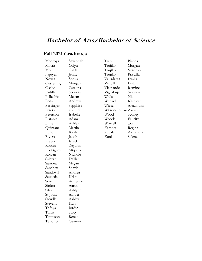# **Fall 2021 Graduates**

| Montoya    | Savannah |
|------------|----------|
| Morris     | Colyn    |
| Mott       | Caitlin  |
| Nguyen     | Jenny    |
| Noyes      | Sonya    |
| Oesterling | Morgan   |
| Oselio     | Catalina |
| Padilla    | Sequoia  |
| Pellechio  | Megan    |
| Pena       | Andrew   |
| Persinger  | Sapphire |
| Peters     | Gabriel  |
| Peterson   | Isabelle |
| Platania   | Adam     |
| Pulte      | Ashley   |
| Quintana   | Martha   |
| Reno       | Kayla    |
| Rivera     | Jacob    |
| Rivera     | Israel   |
| Robles     | Zeydith  |
| Rodriguez  | Miquela  |
| Rowan      | Nichole  |
| Salazar    | Dalilah  |
| Samora     | Megan    |
| Sanchez    | Shayla   |
| Sandoval   | Andrea   |
| Sauceda    | Kristi   |
| Sena       | Adrienne |
| Siefert    | Aaron    |
| Silva      | Ashlynn  |
| St John    | Amber    |
| Steudle    | Ashley   |
| Stevens    | Kyra     |
| Tafoya     | Jordin   |
| Tarro      | Stacy    |
| Tennison   | Renee    |
| Tenorio    | Camryn   |

Tran Bianca Trujillo Morgan Trujillo Veronica Trujillo Priscilla Valladares Evaliz Vencill Leah Vialpando Jasmine Vigil-Lujan Savannah Walls Nia<br>Wenzel Katl Kathleen Wiesel Alexandria Wilson-FetrowZacary Wood Sydney Woods Felicity Worrell Tori Zamora Zavala Alexandra Zuni Selene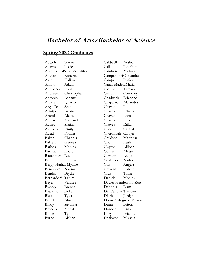## **Spring 2022 Graduates**

| Abweh               | Serena                   |
|---------------------|--------------------------|
| Adams               | Jessica                  |
|                     | Afaghpour-Becklund Mitra |
| Aguilar             | Roberta                  |
| Akter               | Halima                   |
| Amato               | Adam                     |
| Anchondo            | Jesus                    |
| Andresen            | Christopher              |
| Antonio             | Ashanti                  |
| Arcaya              | Ignacio                  |
| Arguello            | Sean                     |
| Armijo              | Ariana                   |
| Arreola             | Alexis                   |
| Aulbach             | Margaret                 |
| Autrey              | Shaina                   |
| Avilucea            | Emily                    |
| Awad                | Fatima                   |
| Baker               | Channis                  |
| <b>Balliett</b>     | Genesis                  |
| Barboa              | Monica                   |
| Barraza             | Rocio                    |
| Bauchman            | Leslie                   |
| Bean                | Deanna                   |
| Begay-Harlan Mykale |                          |
| Benavidez           | Naomi                    |
| Bentley             | Brydie                   |
| Bernardoni          | Tatum                    |
| Beyer               | Vanitee                  |
| Bishop              | Brenna                   |
| Blackmon            | Erika                    |
| Blair               | Tyler                    |
| Bonilla             | Alma                     |
| Brady               | Savanna                  |
| <b>Brandts</b>      | Mariah                   |
| Bruce               | Tyra                     |
| Byrne               | Aislinn                  |

Caldwell Ayshia Call Jonathon Cambon Mallory CampanozziCassandra Campos Jessica Canas MaderaMaria Castillo Tamara Cechini Courtney Chadwick Brieanne Chaparro Alejandra Chavez Jude Chavez Felisha Chavez Nico Chavez Julia Chavez Erika Chee Crystal Cheromiah Caitlyn Childson Mariposa Cho Leah Clayton Allison Comer Alyssa Corbett Aaliya Costanza Nadine Cox Angela Cravens Robert Cruz Tiana Daniels Monica Davies Henderson Zoe Debonis Liam Del Ferraro Trenton Disch Jordyn Door-Rodriguez Melissa Dunn Briton Dunson Erika Edey Brianna Epaloose Mikaela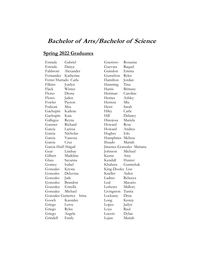## **Spring 2022 Graduates**

Estrada Gabriel Estrada Danya Fabbroni Alexander Fernandez Katherine Ferrer Hurtado Carla Filkins Jordyn Flack Winter Flores Diona Flores Jaden Fowler Payton Fraboni Max Gachupin Kailene Gachupin Kaia Gallegos Reyna Ganster Richard Garcia Larissa Garcia Nicholas Garcia Vanessa Garcia Cruz Garcia-HuffAbigail Gear Lindsay Gilbert Madeline Glass Savanna Gomez Isabel Gonzales Krysta Gonzales Deluvina Gonzales Jade Gonzalez Brandon Gonzalez Estrella Gonzalez Michael Gonzalez Gutierrez Irma Gooch Kassidee Griego Leroy Griego Rylee Griego Angela Grindell Emily

Guerrero Roxanne Guevara Raquel Guindon Emma Gustafson Rylee Hamilton Jordan Hamning Tina Harris Brittany Heitman Caroline Hernes Ashley Herrera Mia Hersi Sarah Hiley Carla Hill Delaney Hinojosa Mariela Howard Rose Howard Andrea Hughes Iolo Humphries Melissa Ibuado Mariah Jimenez-Gonzales Mariana Johnson Michael Keene Amy Kendall Hunter Khahera Gurmehak King-Dooley Lise Kneller Aiden Ladino Rebecca Leal Macario Letherer Mallory Livingston Tanita Lockamy Dixie Long Kenny Lopez Jadyn Loya Raul Lucero Dylan

Lujan Mariah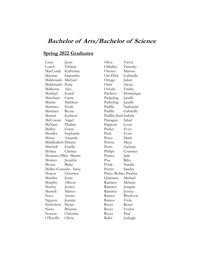## **Spring 2022 Graduates**

Luna Jesus Lynch Tiffanie MacCurdy Katherine Maestas Samantha Maldonado Michael Maldonado Perla Malhotra Alex Mankad Kunal Marchant Carrie Martin Matthew Martinez Noah Martinez Reyna Masten Kathryn McCowan Angel McNary Thailen Melloy Grace Mendez Stephanie Meraz Amanda Middleditch Dennis Mitchell Estella Molina Clarissa Montano-Pilch Martin Montez Jennifer Moore Blake Muller-Gonzales Saray Munoz Christina Murden Katie Murphy Allison Murray Jessica Murrell Matteo Nava Ariana Nguyen Jeannie Nicholson Skylar Nieto Brianna Norton Christina O'Keeffe Olivia

Oliva Victor OMalley Timothy Orozco Marissa Orr-Dick Gabriella Ortega Julian Ortiz Alexis Oviedo Emilia Pacheco Dominique Padayhag Janelle Padayhag Janelle Padilla Nathaniel Padilla Gabrielle Padilla-Steel Isabela Paniagua Salud Papponi Louis Parker Evyn Peck Evan Perez Marly Petosa Maya Petro Zachary Philips Courtney Pinney Jade Pisa Riley Polak Natalie Porter Sandra Prieto Robles Paulina Quintana Michael Ramirez Melanie Ramirez Joaquin Ramirez Jessica Ramos Rhudovic Ramos Viola Reyes Renee Reyes Evelyn Reyes Paul

Rider Jorleigh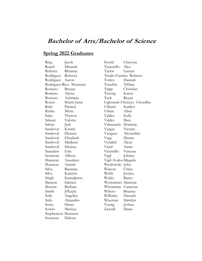## **Spring 2022 Graduates**

Ring Jacob Roach Miranda Roberts Rhianna Rodriguez Rebecca Rodriguez Aaron Rodriguez-Rico Monserat Romero Bryana Romero Alyssa Romero Aubriana Rosen Shanti Janai Rubi Patricia Rubin Meira Salas Theresa Salazar Valoria Saloio Jack Sandoval Kristin Sandoval Deanna Sandoval Elizabeth Sandoval Madison Sandoval Marissa Saunders Erin Seastrom Allison Shannon Anaubrey Shannon Atanah Silva Raeanna Silva Kamryn Singh Kamalpreet Slauson Sabrina Slocum Barbara Smith Ji'Kayla Solis Angelica Solis Alejandro Sorto Henry Sotelo Merissa Stephenson Shannon Swanson Dakota

Syroid Cherysse Tarantello Alex Taylor Lauren Tirado-Fuentes Roberto Torrez Hannah Touchin Tiffany Tripp Christian Truong Karen Tuck Reyan Ugbomah-Otunuya Onyedika Ulibarri Kaitlyn Urban Alisia Valdez Kelly Valdez Shea Valenzuela Dominic Vargas Vicente Vazquez Alexandria Vega Denise Venditti Alexa Viard Annie Vicentillo Vanessa Vigil Johnny Vigil-AvalosMiquela Wasilowski John Watson China Webb Jessica Weiler Raney Westemeier Maricela Wheatstine Cameron Wibeto Brianna Williams Hannah Wiseman Mattilyn Young Joshua Zawadi Diane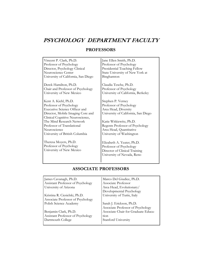# **PSYCHOLOGY DEPARTMENT FACULTY**

# **PROFESSORS**

| Vincent P. Clark, Ph.D.              | Jane Ellen Smith, Ph.D.             |
|--------------------------------------|-------------------------------------|
| Professor of Psychology              | Professor of Psychology             |
| Director, Psychology Clinical        | Presidential Teaching Fellow        |
| Neuroscience Center                  | State University of New York at     |
| University of California, San Diego  | Binghamton                          |
| Derek Hamilton, Ph.D.                | Claudia Tesche, Ph.D.               |
| Chair and Professor of Psychology    | Professor of Psychology             |
| University of New Mexico             | University of California, Berkeley  |
| Kent A. Kiehl, Ph.D.                 | Stephen P. Verney                   |
| Professor of Psychology              | Professor of Psychology             |
| <b>Executive Science Officer and</b> | Area Head, Diversity                |
| Director, Mobile Imaging Core and    | University of California, San Diego |
| Clinical Cognitive Neuroscience,     |                                     |
| The Mind Research Network            | Katie Witkiewitz, Ph.D.             |
| Professor of Translational           | Regents Professor of Psychology     |
| Neuroscience                         | Area Head, Quantitative             |
| University of British Columbia       | University of Washington            |
| Theresa Moyers, Ph.D.                | Elizabeth A. Yeater, Ph.D.          |
| Professor of Psychology              | Professor of Psychology             |
| University of New Mexico             | Director of Clinical Training       |
|                                      | University of Nevada, Reno          |
|                                      |                                     |

## **ASSOCIATE PROFESSORS**

| James Cavanagh, Ph.D.             | Marco Del Giudice, Ph.D.            |
|-----------------------------------|-------------------------------------|
| Assistant Professor of Psychology | Associate Professor                 |
| University of Arizona             | Area Head, Evolutionary/            |
|                                   | Developmental Psychology            |
| Kristina R. Ciesielski, Ph.D.     | University of Turin, Italy          |
| Associate Professor of Psychology |                                     |
| Polish Science Academy            | Sarah J. Erickson, Ph.D.            |
|                                   | Associate Professor of Psychology   |
| Benjamin Clark, Ph.D.             | Associate Chair for Graduate Educa- |
| Assistant Professor of Psychology | $t$ <sub>10<math>n</math></sub>     |
| Dartmouth College                 | Stanford University                 |
|                                   |                                     |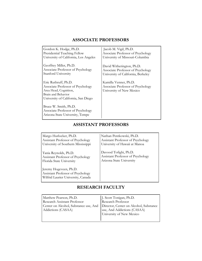## **ASSOCIATE PROFESSORS**

Gordon K. Hodge, Ph.D. Presidential Teaching Fellow University of California, Los Angeles Geoffrey Miller, Ph.D. Associate Professor of Psychology Stanford University Eric Ruthruff, Ph.D. Associate Professor of Psychology Area Head, Cognition, Brain and Behavior University of California, San Diego Bruce W. Smith, Ph.D. Associate Professor of Psychology Arizona State University, Tempe Jacob M. Vigil, Ph.D. Associate Professor of Psychology University of Missouri-Columbia David Witherington, Ph.D. Associate Professor of Psychology University of California, Berkeley Kamilla Venner, Ph.D. Associate Professor of Psychology University of New Mexico

## **ASSISTANT PROFESSORS**

Margo Hurlocker, Ph.D. Assistant Professor of Psychology University of Southern Mississippi

Tania Reynolds, Ph.D. Assistant Professor of Psychology Florida State University

Jeremy Hogeveen, Ph.D. Assistant Professor of Psychology Wilfrid Laurier University, Canada Nathan Pentkowski, Ph.D. Assistant Professor of Psychology University of Hawaii at Manoa

Davood Tofighi, Ph.D. Assistant Professor of Psychology Arizona State University

## **RESEARCH FACULTY**

| Matthew Pearson, Ph.D.<br><b>Research Assistant Professor</b><br>Center on Alcohol, Substance use, And   Director, Center on Alcohol, Substance | J. Scott Tonigan, Ph.D.<br>Research Professor            |
|-------------------------------------------------------------------------------------------------------------------------------------------------|----------------------------------------------------------|
| Addictions (CASAA)                                                                                                                              | luse, And Addictions (CASAA)<br>University of New Mexico |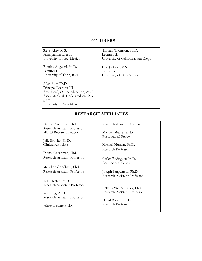### **LECTURERS**

Steve Alley, M.S. Principal Lecturer II University of New Mexico

Romina Angeleri, Ph.D. Lecturer III University of Turin, Italy

Allen Butt, Ph.D. Principal Lecturer III Area Head, Online education, AOP Associate Chair Undergraduate Program University of New Mexico

Kirsten Thomson, Ph.D. Lecturer III University of California, San Diego

Eric Jackson, M.S. Term Lecturer University of New Mexico

## **RESEARCH AFFILIATES**

Nathan Anderson, Ph.D. Research Assistant Professor MIND Research Network Julie Brovko, Ph.D. Clinical Associate Diana Fleischman, Ph.D. Research Assistant Professor Madeline Goodkind, Ph.D. Research Assistant Professor Reid Hester, Ph.D. Research Associate Professor Rex Jung, Ph.D. Research Assistant Professor Jeffrey Lewine Ph.D. Research Associate Professor Michael Maurer Ph.D. Postdoctoral Fellow Michael Numan, Ph.D. Research Professor Carlos Rodriguez Ph.D. Postdoctoral Fellow Joseph Sanguinetti, Ph.D. Research Assistant Professor Belinda Vicuña-Tellez, Ph.D. Research Assistant Professor David Winter, Ph.D. Research Professor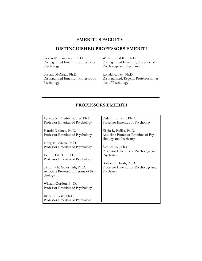## **EMERITUS FACULTY**

### **DISTINGUISHED PROFESSORS EMERITI**

Steven W. Gangestad, Ph.D. Distinguished Emeritus, Professor of Psychology

Barbara McCrady Ph.D. Distinguished Emeritus, Professor of Psychology

William R. Miller, Ph.D. Distinguished Emeritus, Professor of Psychology and Psychiatry

Ronald A. Yeo, Ph.D. Distinguished/Regents Professor Emeritus of Psychology

## **PROFESSORS EMERITI**

| Lynette K. Friedrich Cofer, Ph.D.    | Peder J. Johnson, Ph.D.              |
|--------------------------------------|--------------------------------------|
| Professor Emeritus of Psychology     | Professor Emeritus of Psychology     |
| Harold Delaney, Ph.D.                | Eligio R. Padilla, Ph.D.             |
| Professor Emeritus of Psychology     | Associate Professor Emeritus of Psy- |
|                                      | chology and Psychiatry               |
| Douglas Ferraro, Ph.D.               |                                      |
| Professor Emeritus of Psychology     | Samuel Roll, Ph.D.                   |
|                                      | Professor Emeritus of Psychology and |
| John P. Gluck, Ph.D.                 | Psychiatry                           |
| Professor Emeritus of Psychology     |                                      |
|                                      | Britton Ruebush, Ph.D.               |
| Timothy E. Goldsmith, Ph.D.          | Professor Emeritus of Psychology and |
| Associate Professor Emeritus of Psy- | Psychiatry                           |
| chology                              |                                      |
|                                      |                                      |
| William Gordon, Ph.D.                |                                      |
| Professor Emeritus of Psychology     |                                      |
|                                      |                                      |
| Richard Harris, Ph.D.                |                                      |
| Professor Emeritus of Psychology     |                                      |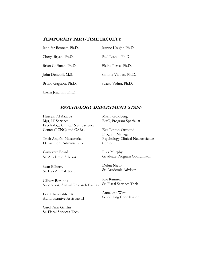### **TEMPORARY PART-TIME FACULTY**

| Jennifer Bennett, Ph.D. | Jeanne Knight, Ph.D.  |
|-------------------------|-----------------------|
| Cheryl Bryan, Ph.D.     | Paul Lesnik, Ph.D.    |
| Brian Coffman, Ph.D.    | Elaine Perea, Ph.D.   |
| John Dencoff, M.S.      | Simone Viljoen, Ph.D. |
| Bruno Gagnon, Ph.D.     | Swasti Vohra, Ph.D.   |
| Lorna Joachim, Ph.D.    |                       |

### **PSYCHOLOGY DEPARTMENT STAFF**

Hussein Al Azzawi Mgr, IT Services Psychology Clinical Neuroscience Center (PCNC) and CARC

Trish Aragón-Mascareñas Department Administrator

Guinivere Beard Sr. Academic Advisor

Sean Bilberry Sr. Lab Animal Tech

Gilbert Borunda Supervisor, Animal Research Facility

Lori Chavez-Morris Administrative Assistant II

Carol-Ann Griffin Sr. Fiscal Services Tech Marni Goldberg, BAC, Program Specialist

Eva Lipton-Ormond Program Manager Psychology Clinical Neuroscience **Center** 

Rikk Murphy Graduate Program Coordinator

Debra Nieto Sr. Academic Advisor

Rae Ramirez Sr. Fiscal Services Tech

Anneliese Ward Scheduling Coordinator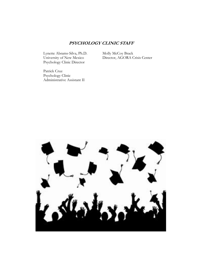## **PSYCHOLOGY CLINIC STAFF**

Lynette Abrams-Silva, Ph.D. University of New Mexico Psychology Clinic Director

Molly McCoy Brack Director, AGORA Crisis Center

Patrick Cruz Psychology Clinic Administrative Assistant II

![](_page_31_Picture_4.jpeg)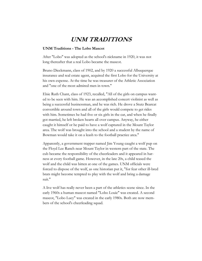# **UNM TRADITIONS**

#### **UNM Traditions - The Lobo Mascot**

After "Lobo" was adopted as the school's nickname in 1920, it was not long thereafter that a real Lobo became the mascot.

Bruno Dieckmann, class of 1902, and by 1920 a successful Albuquerque insurance and real estate agent, acquired the first Lobo for the University at his own expense. At the time he was treasurer of the Athletic Association and "one of the most admired men in town."

Elsie Ruth Chant, class of 1923, recalled, "All of the girls on campus wanted to be seen with him. He was an accomplished concert violinist as well as being a successful businessman, and he was rich. He drove a Stutz Bearcat convertible around town and all of the girls would compete to get rides with him. Sometimes he had five or six girls in the car, and when he finally got married, he left broken hearts all over campus. Anyway, he either caught it himself or he paid to have a wolf captured in the Mount Taylor area. The wolf was brought into the school and a student by the name of Bowman would take it on a leash to the football practice area."

Apparently, a government trapper named Jim Young caught a wolf pup on the Floyd Lee Ranch near Mount Taylor in western part of the state. The cub became the responsibility of the cheerleaders and it appeared in harness at every football game. However, in the late 20s, a child teased the wolf and the child was bitten at one of the games. UNM officials were forced to dispose of the wolf, as one historian put it, "for fear other ill-bred brats might become tempted to play with the wolf and bring a damage suit."

A live wolf has really never been a part of the athletics scene since. In the early 1960s a human mascot named "Lobo Louie" was created. A second mascot, "Lobo Lucy" was created in the early 1980s. Both are now members of the school's cheerleading squad.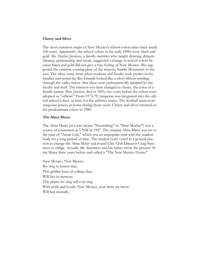#### **Cherry and Silver**

The most common origin of New Mexico's school colors dates back nearly 100 years. Apparently, the school colors in the early 1890s were black and gold. Ms. Harriet Jenness, a faculty member who taught drawing, delsarte (drama), penmanship and music, suggested a change in school colors because black and gold did not give a true feeling of New Mexico. She suggested the crimson evening glow of the majestic Sandia Mountains to the east. The silver came from when students and faculty took picnics in the Sandias and noted the Rio Grande looked like a silver ribbon winding through the valley below. Her ideas were enthusiastically adopted by the faculty and staff. The crimson was later changed to cherry, the color of a Sandia sunset. Miss Jenness died in 1895, two years before the colors were adopted as "official." From 1973-79, turquoise was integrated into the official school colors, at least, for the athletics teams. The football team wore turquoise jerseys at home during those years. Cherry and silver returned as the predominant colors in 1980.

#### **The Alma Mater**

The Alma Mater (in Latin means "Nourishing" or "Dear Mother") was a source of contention at UNM in 1947. The original Alma Mater was set to the tune of "Annie Lyle," which was an unpopular tune with the student body for a long period of time. The student body voted in a general election to change the Alma Mater and found Glee Club Director Craig Summers to oblige. Actually Mr. Summers and his father wrote the present Alma Mater three years before and called it "The New Mexico Hymn."

New Mexico, New Mexico We sing to honor thee. This golden haze of college days Will live in memory. This praise we sing will ever ring With truth and loyalty New Mexico, your fame we know Will last eternally.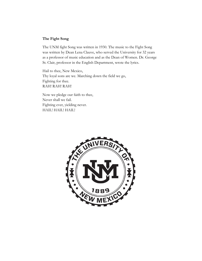### **The Fight Song**

The UNM fight Song was written in 1930. The music to the Fight Song was written by Dean Lena Clauve, who served the University for 32 years as a professor of music education and as the Dean of Women. Dr. George St. Clair, professor in the English Department, wrote the lyrics.

Hail to thee, New Mexico, Thy loyal sons are we. Marching down the field we go, Fighting for thee. RAH! RAH! RAH!

Now we pledge our faith to thee, Never shall we fail. Fighting ever, yielding never. HAIL! HAIL! HAIL!

![](_page_34_Picture_4.jpeg)